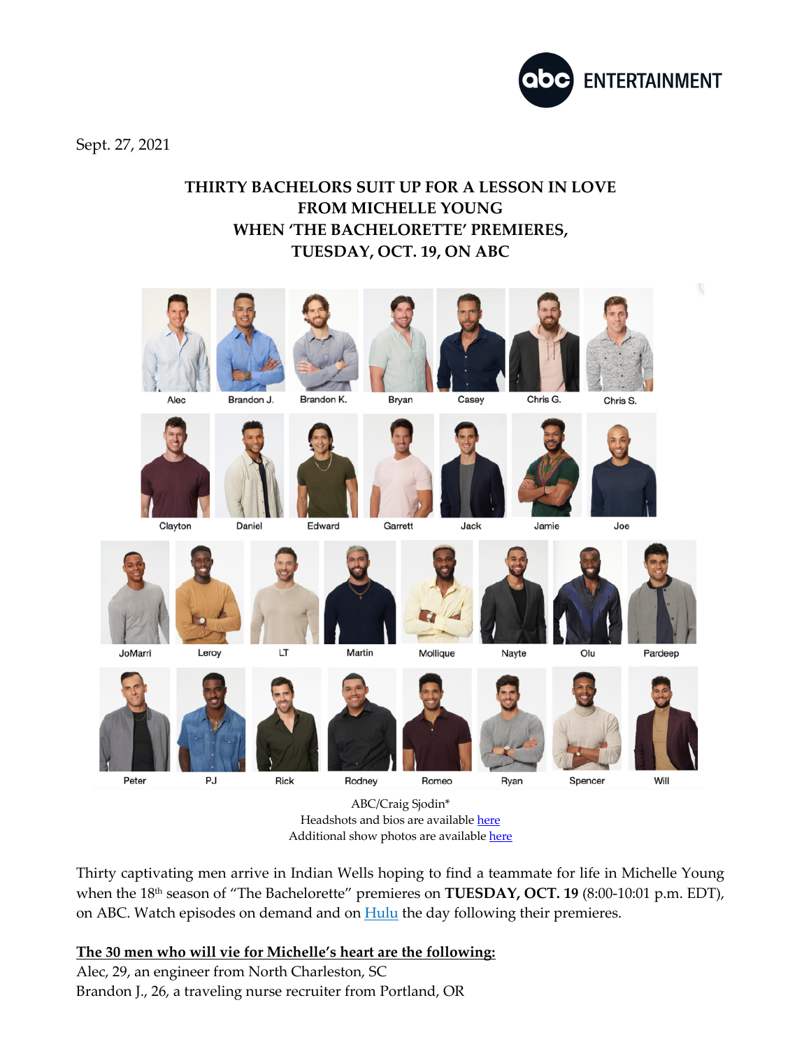

Sept. 27, 2021

## **THIRTY BACHELORS SUIT UP FOR A LESSON IN LOVE FROM MICHELLE YOUNG WHEN 'THE BACHELORETTE' PREMIERES, TUESDAY, OCT. 19, ON ABC**



ABC/Craig Sjodin\* Headshots and bios are available here Additional show photos are available here

Thirty captivating men arrive in Indian Wells hoping to find a teammate for life in Michelle Young when the 18<sup>th</sup> season of "The Bachelorette" premieres on **TUESDAY, OCT. 19** (8:00-10:01 p.m. EDT), on ABC. Watch episodes on demand and on **Hulu** the day following their premieres.

## **The 30 men who will vie for Michelle's heart are the following:**

Alec, 29, an engineer from North Charleston, SC Brandon J., 26, a traveling nurse recruiter from Portland, OR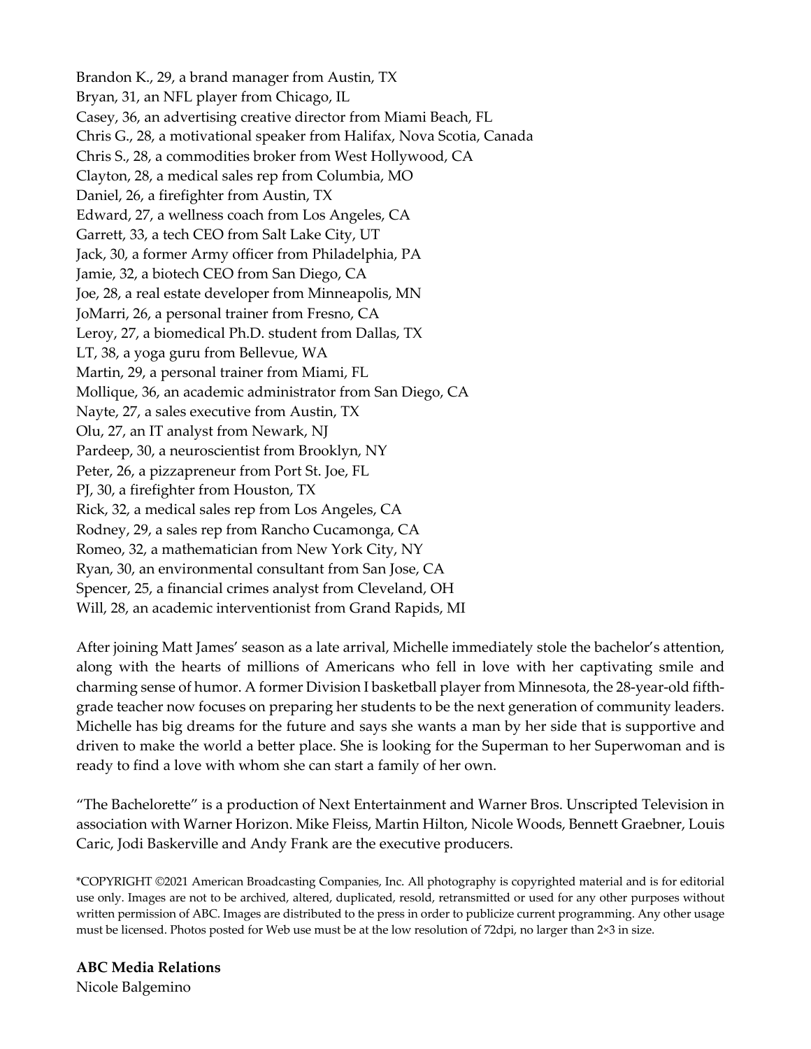Brandon K., 29, a brand manager from Austin, TX Bryan, 31, an NFL player from Chicago, IL Casey, 36, an advertising creative director from Miami Beach, FL Chris G., 28, a motivational speaker from Halifax, Nova Scotia, Canada Chris S., 28, a commodities broker from West Hollywood, CA Clayton, 28, a medical sales rep from Columbia, MO Daniel, 26, a firefighter from Austin, TX Edward, 27, a wellness coach from Los Angeles, CA Garrett, 33, a tech CEO from Salt Lake City, UT Jack, 30, a former Army officer from Philadelphia, PA Jamie, 32, a biotech CEO from San Diego, CA Joe, 28, a real estate developer from Minneapolis, MN JoMarri, 26, a personal trainer from Fresno, CA Leroy, 27, a biomedical Ph.D. student from Dallas, TX LT, 38, a yoga guru from Bellevue, WA Martin, 29, a personal trainer from Miami, FL Mollique, 36, an academic administrator from San Diego, CA Nayte, 27, a sales executive from Austin, TX Olu, 27, an IT analyst from Newark, NJ Pardeep, 30, a neuroscientist from Brooklyn, NY Peter, 26, a pizzapreneur from Port St. Joe, FL PJ, 30, a firefighter from Houston, TX Rick, 32, a medical sales rep from Los Angeles, CA Rodney, 29, a sales rep from Rancho Cucamonga, CA Romeo, 32, a mathematician from New York City, NY Ryan, 30, an environmental consultant from San Jose, CA Spencer, 25, a financial crimes analyst from Cleveland, OH Will, 28, an academic interventionist from Grand Rapids, MI

After joining Matt James' season as a late arrival, Michelle immediately stole the bachelor's attention, along with the hearts of millions of Americans who fell in love with her captivating smile and charming sense of humor. A former Division I basketball player from Minnesota, the 28-year-old fifthgrade teacher now focuses on preparing her students to be the next generation of community leaders. Michelle has big dreams for the future and says she wants a man by her side that is supportive and driven to make the world a better place. She is looking for the Superman to her Superwoman and is ready to find a love with whom she can start a family of her own.

"The Bachelorette" is a production of Next Entertainment and Warner Bros. Unscripted Television in association with Warner Horizon. Mike Fleiss, Martin Hilton, Nicole Woods, Bennett Graebner, Louis Caric, Jodi Baskerville and Andy Frank are the executive producers.

\*COPYRIGHT ©2021 American Broadcasting Companies, Inc. All photography is copyrighted material and is for editorial use only. Images are not to be archived, altered, duplicated, resold, retransmitted or used for any other purposes without written permission of ABC. Images are distributed to the press in order to publicize current programming. Any other usage must be licensed. Photos posted for Web use must be at the low resolution of 72dpi, no larger than 2×3 in size.

**ABC Media Relations** Nicole Balgemino